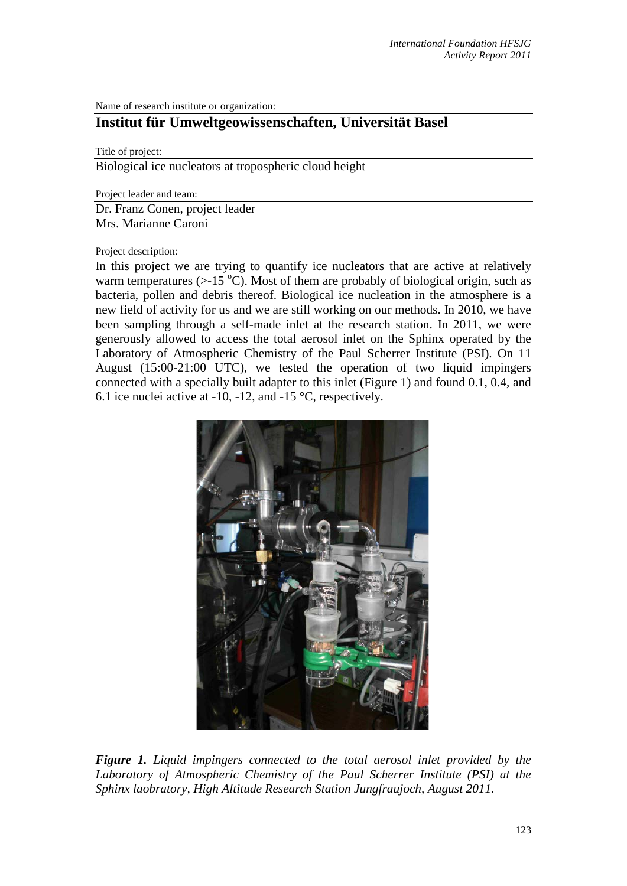Name of research institute or organization:

## **Institut für Umweltgeowissenschaften, Universität Basel**

Title of project:

Biological ice nucleators at tropospheric cloud height

Project leader and team:

Dr. Franz Conen, project leader Mrs. Marianne Caroni

## Project description:

In this project we are trying to quantify ice nucleators that are active at relatively warm temperatures  $(>=15 \degree C)$ . Most of them are probably of biological origin, such as bacteria, pollen and debris thereof. Biological ice nucleation in the atmosphere is a new field of activity for us and we are still working on our methods. In 2010, we have been sampling through a self-made inlet at the research station. In 2011, we were generously allowed to access the total aerosol inlet on the Sphinx operated by the Laboratory of Atmospheric Chemistry of the Paul Scherrer Institute (PSI). On 11 August (15:00-21:00 UTC), we tested the operation of two liquid impingers connected with a specially built adapter to this inlet (Figure 1) and found 0.1, 0.4, and 6.1 ice nuclei active at -10, -12, and -15 °C, respectively.



*Figure 1. Liquid impingers connected to the total aerosol inlet provided by the Laboratory of Atmospheric Chemistry of the Paul Scherrer Institute (PSI) at the Sphinx laobratory, High Altitude Research Station Jungfraujoch, August 2011.*